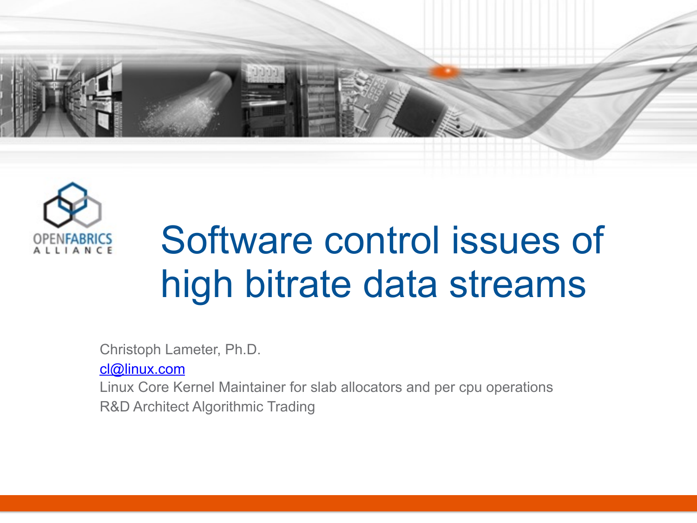



## Software control issues of high bitrate data streams

Christoph Lameter, Ph.D.

[cl@linux.com](mailto:cl@linux.com)

Linux Core Kernel Maintainer for slab allocators and per cpu operations R&D Architect Algorithmic Trading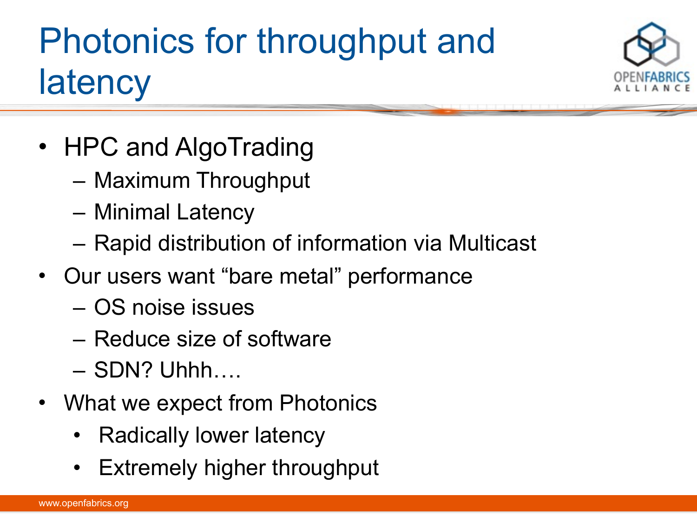### Photonics for throughput and **latency**



- HPC and AlgoTrading
	- Maximum Throughput
	- Minimal Latency
	- Rapid distribution of information via Multicast
- Our users want "bare metal" performance
	- OS noise issues
	- Reduce size of software
	- SDN? Uhhh….
- What we expect from Photonics
	- Radically lower latency
	- Extremely higher throughput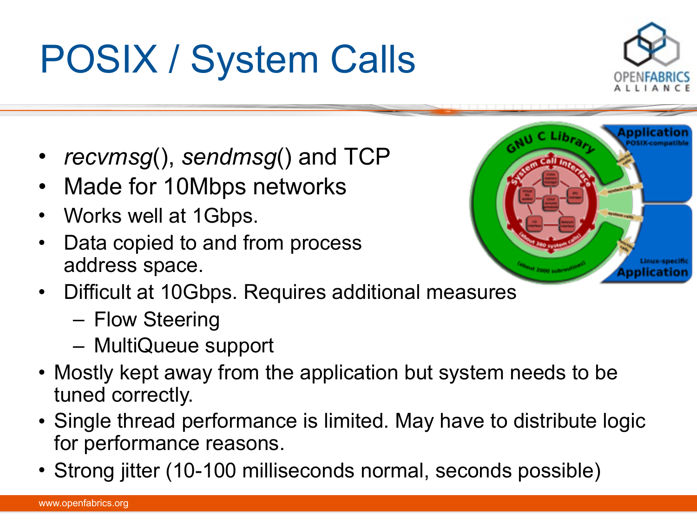### POSIX / System Calls

- *recvmsg*(), *sendmsg*() and TCP
- Made for 10Mbps networks
- Works well at 1Gbps.
- Data copied to and from process address space.
- Difficult at 10Gbps. Requires additional measures
	- Flow Steering
	- MultiQueue support
- Mostly kept away from the application but system needs to be tuned correctly.
- Single thread performance is limited. May have to distribute logic for performance reasons.
- Strong jitter (10-100 milliseconds normal, seconds possible)



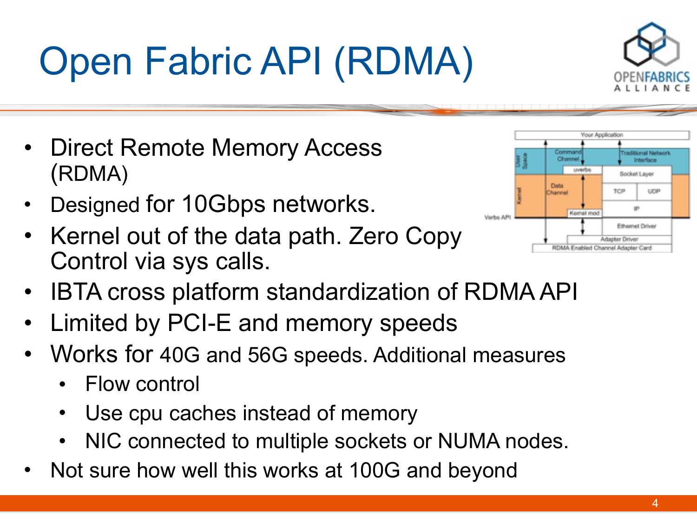# Open Fabric API (RDMA)

- Direct Remote Memory Access (RDMA)
- Designed for 10Gbps networks.
- Kernel out of the data path. Zero Copy Control via sys calls.



- Limited by PCI-E and memory speeds
- Works for 40G and 56G speeds. Additional measures
	- Flow control
	- Use cpu caches instead of memory
	- NIC connected to multiple sockets or NUMA nodes.
- Not sure how well this works at 100G and beyond



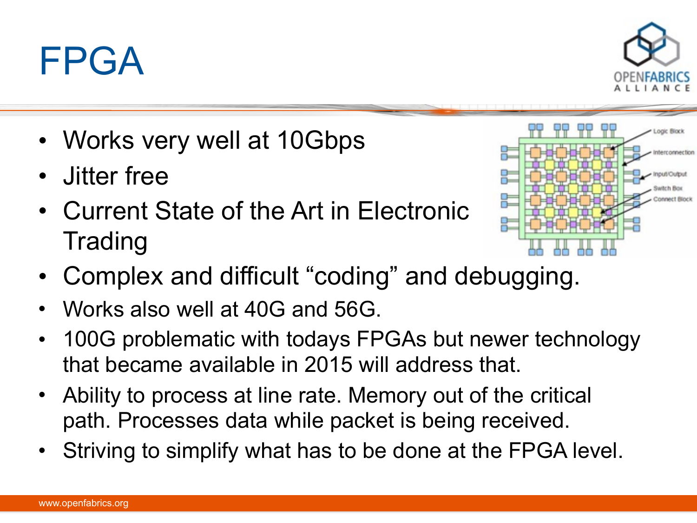### • Works very well at 10Gbps

- Jitter free
- Current State of the Art in Electronic **Trading**
- Complex and difficult "coding" and debugging.
- Works also well at 40G and 56G.
- 100G problematic with todays FPGAs but newer technology that became available in 2015 will address that.
- Ability to process at line rate. Memory out of the critical path. Processes data while packet is being received.
- Striving to simplify what has to be done at the FPGA level.

FPGA



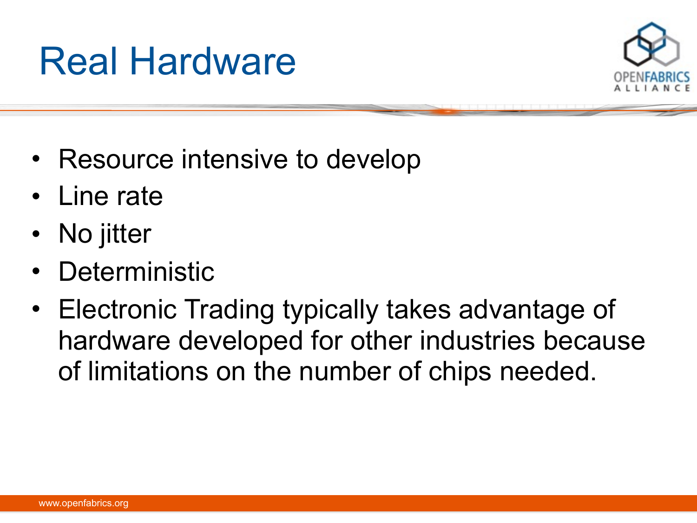### Real Hardware



- Resource intensive to develop
- Line rate
- No jitter
- **Deterministic**
- Electronic Trading typically takes advantage of hardware developed for other industries because of limitations on the number of chips needed.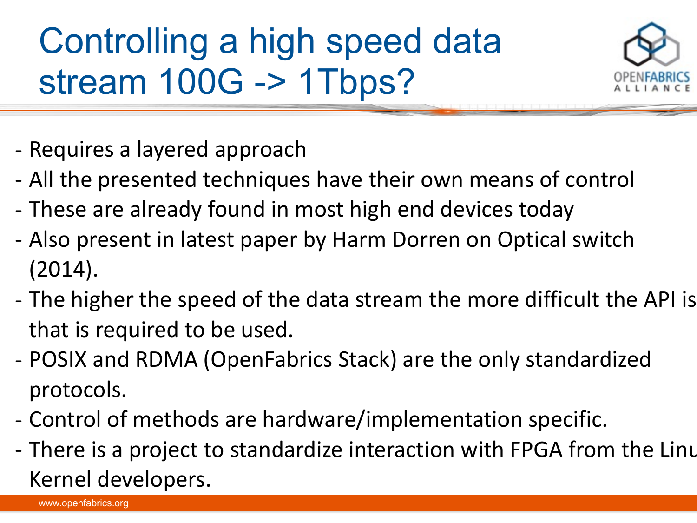Controlling a high speed data stream 100G -> 1Tbps?



- Requires a layered approach
- All the presented techniques have their own means of control
- These are already found in most high end devices today
- Also present in latest paper by Harm Dorren on Optical switch (2014).
- The higher the speed of the data stream the more difficult the API is that is required to be used.
- POSIX and RDMA (OpenFabrics Stack) are the only standardized protocols.
- Control of methods are hardware/implementation specific.
- 7 - There is a project to standardize interaction with FPGA from the Linu Kernel developers.